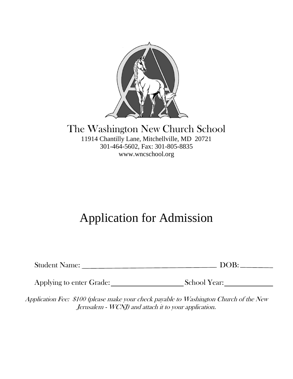

### The Washington New Church School 11914 Chantilly Lane, Mitchellville, MD 20721 301-464-5602, Fax: 301-805-8835 www.wncschool.org

# Application for Admission

| <b>Student Name:</b><br>DOB: |
|------------------------------|
|------------------------------|

Applying to enter Grade: School Year:

Application Fee: \$100 (please make your check payable to Washington Church of the New Jerusalem - WCNJ) and attach it to your application.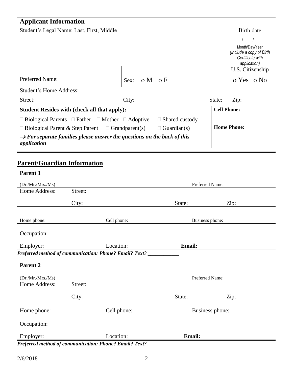## **Applicant Information**

|                                                     |                                                                                                                                                                                                                              | <b>Birth date</b>                          |
|-----------------------------------------------------|------------------------------------------------------------------------------------------------------------------------------------------------------------------------------------------------------------------------------|--------------------------------------------|
|                                                     |                                                                                                                                                                                                                              |                                            |
|                                                     |                                                                                                                                                                                                                              | Month/Day/Year<br>(Include a copy of Birth |
|                                                     |                                                                                                                                                                                                                              | Certificate with                           |
|                                                     |                                                                                                                                                                                                                              | application)                               |
|                                                     |                                                                                                                                                                                                                              | U.S. Citizenship                           |
| $\circ M \circ F$<br>Sex:                           |                                                                                                                                                                                                                              | o Yes o No                                 |
|                                                     |                                                                                                                                                                                                                              |                                            |
| City:                                               | State:                                                                                                                                                                                                                       | Zip:                                       |
| <b>Student Resides with (check all that apply):</b> |                                                                                                                                                                                                                              |                                            |
| $\Box$ Shared custody                               |                                                                                                                                                                                                                              |                                            |
| $\Box$ Guardian(s)                                  |                                                                                                                                                                                                                              | <b>Home Phone:</b>                         |
|                                                     |                                                                                                                                                                                                                              |                                            |
|                                                     | $\Box$ Biological Parents $\Box$ Father $\Box$ Mother $\Box$ Adoptive<br>$\Box$ Biological Parent & Step Parent $\Box$ Grandparent(s)<br>$\rightarrow$ For separate families please answer the questions on the back of this | <b>Cell Phone:</b>                         |

## **Parent/Guardian Information**

#### **Parent 1**

| (Dr./Mr./Mrs./Ms)   |         |                                                               | Preferred Name: |      |  |
|---------------------|---------|---------------------------------------------------------------|-----------------|------|--|
| Home Address:       | Street: |                                                               |                 |      |  |
|                     | City:   |                                                               | State:          | Zip: |  |
| Home phone:         |         | Cell phone:                                                   | Business phone: |      |  |
| Occupation:         |         |                                                               |                 |      |  |
| Employer:           |         | Location:                                                     | <b>Email:</b>   |      |  |
|                     |         | Preferred method of communication: Phone? Email? Text? _      |                 |      |  |
| Parent <sub>2</sub> |         |                                                               |                 |      |  |
| (Dr./Mr./Mrs./Ms)   |         |                                                               | Preferred Name: |      |  |
| Home Address:       | Street: |                                                               |                 |      |  |
|                     | City:   |                                                               | State:          | Zip: |  |
| Home phone:         |         | Cell phone:                                                   | Business phone: |      |  |
| Occupation:         |         |                                                               |                 |      |  |
| Employer:           |         | Location:                                                     | <b>Email:</b>   |      |  |
|                     |         | <b>Preferred method of communication: Phone? Email? Text?</b> |                 |      |  |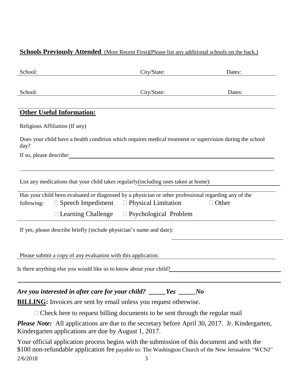#### **Schools Previously Attended** (Most Recent First)(Please list any additional schools on the back.)

| School:                                                                                                                                                                                                                       | City/State:                                         | Dates:       |
|-------------------------------------------------------------------------------------------------------------------------------------------------------------------------------------------------------------------------------|-----------------------------------------------------|--------------|
|                                                                                                                                                                                                                               |                                                     |              |
| School:                                                                                                                                                                                                                       | City/State:                                         | Dates:       |
|                                                                                                                                                                                                                               |                                                     |              |
| <b>Other Useful Information:</b>                                                                                                                                                                                              |                                                     |              |
| Religious Affiliation (If any)                                                                                                                                                                                                |                                                     |              |
| Does your child have a health condition which requires medical treatment or supervision during the school<br>day?                                                                                                             |                                                     |              |
| If so, please describe: 100 million and the state of the state of the state of the state of the state of the state of the state of the state of the state of the state of the state of the state of the state of the state of |                                                     |              |
|                                                                                                                                                                                                                               |                                                     |              |
| List any medications that your child takes regularly(including ones taken at home):                                                                                                                                           |                                                     |              |
| Has your child been evaluated or diagnosed by a physician or other professional regarding any of the                                                                                                                          |                                                     |              |
| following:                                                                                                                                                                                                                    | $\Box$ Speech Impediment $\Box$ Physical Limitation | $\Box$ Other |
| $\Box$ Learning Challenge                                                                                                                                                                                                     | $\Box$ Psychological Problem                        |              |
| If yes, please describe briefly (include physician's name and date):                                                                                                                                                          |                                                     |              |
|                                                                                                                                                                                                                               |                                                     |              |
| Please submit a copy of any evaluation with this application.                                                                                                                                                                 |                                                     |              |
| Is there anything else you would like us to know about your child?                                                                                                                                                            |                                                     |              |
|                                                                                                                                                                                                                               |                                                     |              |
| Are you interested in after care for your child? _____Yes _____No                                                                                                                                                             |                                                     |              |
| <b>BILLING:</b> Invoices are sent by email unless you request otherwise.                                                                                                                                                      |                                                     |              |
|                                                                                                                                                                                                                               |                                                     |              |
| $\Box$ Check here to request billing documents to be sent through the regular mail                                                                                                                                            |                                                     |              |
| Please Note: All applications are due to the secretary before April 30, 2017. Jr. Kindergarten,<br>Kindergarten applications are due by August 1, 2017.                                                                       |                                                     |              |

2/6/2018 3 Your official application process begins with the submission of this document and with the \$100 non-refundable application fee payable to: The Washington Church of the New Jerusalem "WCNJ"